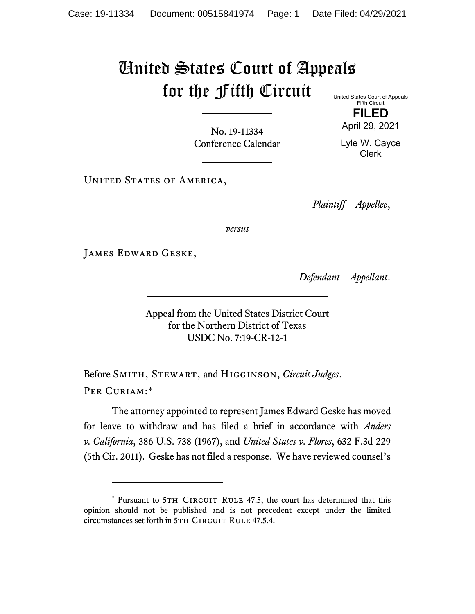## United States Court of Appeals for the Fifth Circuit

United States Court of Appeals Fifth Circuit **FILED**

No. 19-11334 Conference Calendar April 29, 2021

Lyle W. Cayce Clerk

UNITED STATES OF AMERICA,

*Plaintiff—Appellee*,

*versus*

James Edward Geske,

*Defendant—Appellant*.

Appeal from the United States District Court for the Northern District of Texas USDC No. 7:19-CR-12-1

Before Smith, Stewart, and Higginson, *Circuit Judges*. Per Curiam:[\\*](#page-0-0)

The attorney appointed to represent James Edward Geske has moved for leave to withdraw and has filed a brief in accordance with *Anders v. California*, 386 U.S. 738 (1967), and *United States v. Flores*, 632 F.3d 229 (5th Cir. 2011). Geske has not filed a response. We have reviewed counsel's

<span id="page-0-0"></span><sup>\*</sup> Pursuant to 5TH CIRCUIT RULE 47.5, the court has determined that this opinion should not be published and is not precedent except under the limited circumstances set forth in 5TH CIRCUIT RULE 47.5.4.